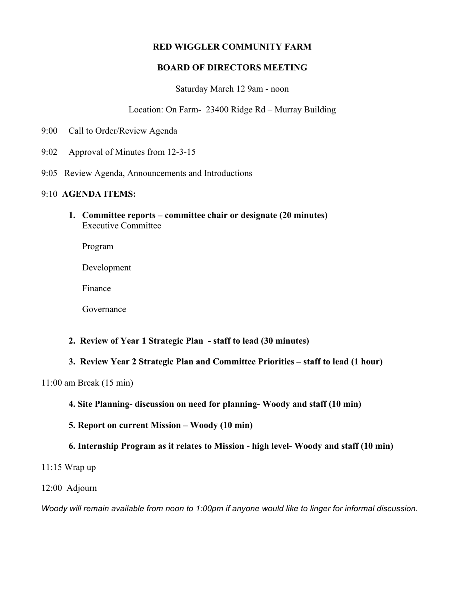# **RED WIGGLER COMMUNITY FARM**

## **BOARD OF DIRECTORS MEETING**

### Saturday March 12 9am - noon

## Location: On Farm- 23400 Ridge Rd – Murray Building

- 9:00 Call to Order/Review Agenda
- 9:02 Approval of Minutes from 12-3-15
- 9:05 Review Agenda, Announcements and Introductions

### 9:10 **AGENDA ITEMS:**

**1. Committee reports – committee chair or designate (20 minutes)** Executive Committee

Program

Development

Finance

Governance

- **2. Review of Year 1 Strategic Plan - staff to lead (30 minutes)**
- **3. Review Year 2 Strategic Plan and Committee Priorities – staff to lead (1 hour)**

11:00 am Break (15 min)

- **4. Site Planning- discussion on need for planning- Woody and staff (10 min)**
- **5. Report on current Mission – Woody (10 min)**

# **6. Internship Program as it relates to Mission - high level- Woody and staff (10 min)**

11:15 Wrap up

#### 12:00 Adjourn

*Woody will remain available from noon to 1:00pm if anyone would like to linger for informal discussion.*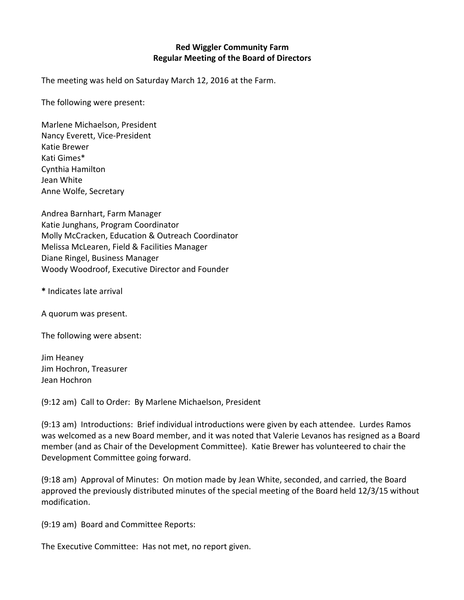# **Red Wiggler Community Farm Regular Meeting of the Board of Directors**

The meeting was held on Saturday March 12, 2016 at the Farm.

The following were present:

Marlene Michaelson, President Nancy Everett, Vice-President Katie Brewer Kati Gimes\* Cynthia Hamilton Jean White Anne Wolfe, Secretary

Andrea Barnhart, Farm Manager Katie Junghans, Program Coordinator Molly McCracken, Education & Outreach Coordinator Melissa McLearen, Field & Facilities Manager Diane Ringel, Business Manager Woody Woodroof, Executive Director and Founder

**\*** Indicates late arrival

A quorum was present.

The following were absent:

Jim Heaney Jim Hochron, Treasurer Jean Hochron

(9:12 am) Call to Order: By Marlene Michaelson, President

(9:13 am) Introductions: Brief individual introductions were given by each attendee. Lurdes Ramos was welcomed as a new Board member, and it was noted that Valerie Levanos has resigned as a Board member (and as Chair of the Development Committee). Katie Brewer has volunteered to chair the Development Committee going forward.

(9:18 am) Approval of Minutes: On motion made by Jean White, seconded, and carried, the Board approved the previously distributed minutes of the special meeting of the Board held 12/3/15 without modification.

(9:19 am) Board and Committee Reports:

The Executive Committee: Has not met, no report given.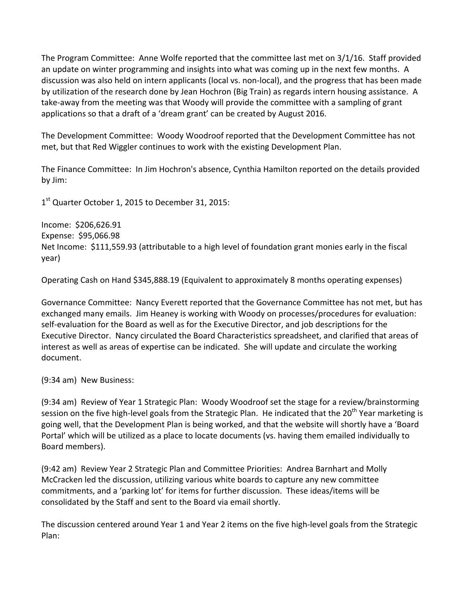The Program Committee: Anne Wolfe reported that the committee last met on 3/1/16. Staff provided an update on winter programming and insights into what was coming up in the next few months. A discussion was also held on intern applicants (local vs. non-local), and the progress that has been made by utilization of the research done by Jean Hochron (Big Train) as regards intern housing assistance. A take-away from the meeting was that Woody will provide the committee with a sampling of grant applications so that a draft of a 'dream grant' can be created by August 2016.

The Development Committee: Woody Woodroof reported that the Development Committee has not met, but that Red Wiggler continues to work with the existing Development Plan.

The Finance Committee: In Jim Hochron's absence, Cynthia Hamilton reported on the details provided by Jim:

 $1<sup>st</sup>$  Quarter October 1, 2015 to December 31, 2015:

Income: \$206,626.91 Expense: \$95,066.98 Net Income: \$111,559.93 (attributable to a high level of foundation grant monies early in the fiscal year)

Operating Cash on Hand \$345,888.19 (Equivalent to approximately 8 months operating expenses)

Governance Committee: Nancy Everett reported that the Governance Committee has not met, but has exchanged many emails. Jim Heaney is working with Woody on processes/procedures for evaluation: self-evaluation for the Board as well as for the Executive Director, and job descriptions for the Executive Director. Nancy circulated the Board Characteristics spreadsheet, and clarified that areas of interest as well as areas of expertise can be indicated. She will update and circulate the working document.

(9:34 am) New Business:

(9:34 am) Review of Year 1 Strategic Plan: Woody Woodroof set the stage for a review/brainstorming session on the five high-level goals from the Strategic Plan. He indicated that the 20<sup>th</sup> Year marketing is going well, that the Development Plan is being worked, and that the website will shortly have a 'Board Portal' which will be utilized as a place to locate documents (vs. having them emailed individually to Board members).

(9:42 am) Review Year 2 Strategic Plan and Committee Priorities: Andrea Barnhart and Molly McCracken led the discussion, utilizing various white boards to capture any new committee commitments, and a 'parking lot' for items for further discussion. These ideas/items will be consolidated by the Staff and sent to the Board via email shortly.

The discussion centered around Year 1 and Year 2 items on the five high-level goals from the Strategic Plan: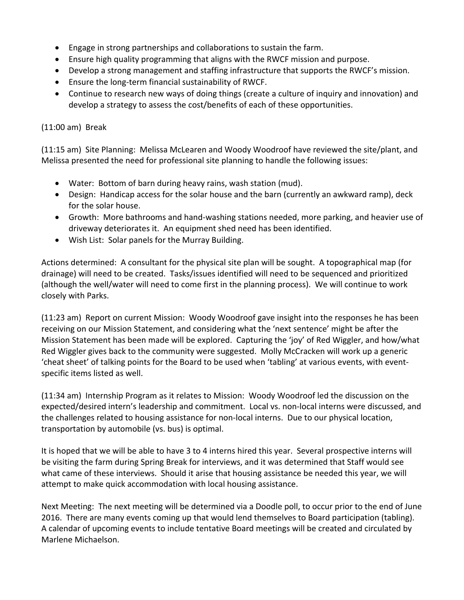- Engage in strong partnerships and collaborations to sustain the farm.
- Ensure high quality programming that aligns with the RWCF mission and purpose.
- Develop a strong management and staffing infrastructure that supports the RWCF's mission.
- Ensure the long-term financial sustainability of RWCF.
- Continue to research new ways of doing things (create a culture of inquiry and innovation) and develop a strategy to assess the cost/benefits of each of these opportunities.

# $(11:00 \text{ am})$  Break

(11:15 am) Site Planning: Melissa McLearen and Woody Woodroof have reviewed the site/plant, and Melissa presented the need for professional site planning to handle the following issues:

- Water: Bottom of barn during heavy rains, wash station (mud).
- Design: Handicap access for the solar house and the barn (currently an awkward ramp), deck for the solar house.
- Growth: More bathrooms and hand-washing stations needed, more parking, and heavier use of driveway deteriorates it. An equipment shed need has been identified.
- Wish List: Solar panels for the Murray Building.

Actions determined: A consultant for the physical site plan will be sought. A topographical map (for drainage) will need to be created. Tasks/issues identified will need to be sequenced and prioritized (although the well/water will need to come first in the planning process). We will continue to work closely with Parks.

(11:23 am) Report on current Mission: Woody Woodroof gave insight into the responses he has been receiving on our Mission Statement, and considering what the 'next sentence' might be after the Mission Statement has been made will be explored. Capturing the 'joy' of Red Wiggler, and how/what Red Wiggler gives back to the community were suggested. Molly McCracken will work up a generic 'cheat sheet' of talking points for the Board to be used when 'tabling' at various events, with eventspecific items listed as well.

(11:34 am) Internship Program as it relates to Mission: Woody Woodroof led the discussion on the expected/desired intern's leadership and commitment. Local vs. non-local interns were discussed, and the challenges related to housing assistance for non-local interns. Due to our physical location, transportation by automobile (vs. bus) is optimal.

It is hoped that we will be able to have 3 to 4 interns hired this year. Several prospective interns will be visiting the farm during Spring Break for interviews, and it was determined that Staff would see what came of these interviews. Should it arise that housing assistance be needed this year, we will attempt to make quick accommodation with local housing assistance.

Next Meeting: The next meeting will be determined via a Doodle poll, to occur prior to the end of June 2016. There are many events coming up that would lend themselves to Board participation (tabling). A calendar of upcoming events to include tentative Board meetings will be created and circulated by Marlene Michaelson.